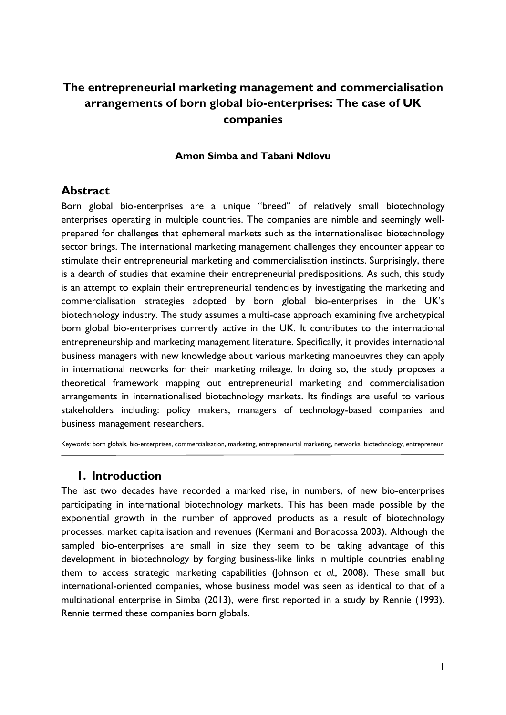# **The entrepreneurial marketing management and commercialisation arrangements of born global bio-enterprises: The case of UK companies**

#### **Amon Simba and Tabani Ndlovu**

#### **Abstract**

Born global bio-enterprises are a unique "breed" of relatively small biotechnology enterprises operating in multiple countries. The companies are nimble and seemingly wellprepared for challenges that ephemeral markets such as the internationalised biotechnology sector brings. The international marketing management challenges they encounter appear to stimulate their entrepreneurial marketing and commercialisation instincts. Surprisingly, there is a dearth of studies that examine their entrepreneurial predispositions. As such, this study is an attempt to explain their entrepreneurial tendencies by investigating the marketing and commercialisation strategies adopted by born global bio-enterprises in the UK's biotechnology industry. The study assumes a multi-case approach examining five archetypical born global bio-enterprises currently active in the UK. It contributes to the international entrepreneurship and marketing management literature. Specifically, it provides international business managers with new knowledge about various marketing manoeuvres they can apply in international networks for their marketing mileage. In doing so, the study proposes a theoretical framework mapping out entrepreneurial marketing and commercialisation arrangements in internationalised biotechnology markets. Its findings are useful to various stakeholders including: policy makers, managers of technology-based companies and business management researchers.

Keywords: born globals, bio-enterprises, commercialisation, marketing, entrepreneurial marketing, networks, biotechnology, entrepreneur

#### **1. Introduction**

The last two decades have recorded a marked rise, in numbers, of new bio-enterprises participating in international biotechnology markets. This has been made possible by the exponential growth in the number of approved products as a result of biotechnology processes, market capitalisation and revenues (Kermani and Bonacossa 2003). Although the sampled bio-enterprises are small in size they seem to be taking advantage of this development in biotechnology by forging business-like links in multiple countries enabling them to access strategic marketing capabilities (Johnson *et al.,* 2008). These small but international-oriented companies, whose business model was seen as identical to that of a multinational enterprise in Simba (2013), were first reported in a study by Rennie (1993). Rennie termed these companies born globals.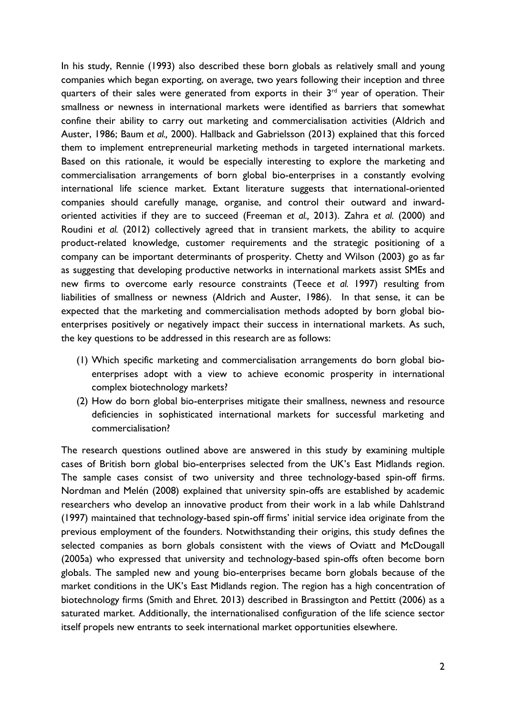In his study, Rennie (1993) also described these born globals as relatively small and young companies which began exporting, on average, two years following their inception and three quarters of their sales were generated from exports in their  $3<sup>rd</sup>$  year of operation. Their smallness or newness in international markets were identified as barriers that somewhat confine their ability to carry out marketing and commercialisation activities (Aldrich and Auster, 1986; Baum *et al.,* 2000). Hallback and Gabrielsson (2013) explained that this forced them to implement entrepreneurial marketing methods in targeted international markets. Based on this rationale, it would be especially interesting to explore the marketing and commercialisation arrangements of born global bio-enterprises in a constantly evolving international life science market. Extant literature suggests that international-oriented companies should carefully manage, organise, and control their outward and inwardoriented activities if they are to succeed (Freeman *et al.,* 2013). Zahra *et al.* (2000) and Roudini *et al.* (2012) collectively agreed that in transient markets, the ability to acquire product-related knowledge, customer requirements and the strategic positioning of a company can be important determinants of prosperity. Chetty and Wilson (2003) go as far as suggesting that developing productive networks in international markets assist SMEs and new firms to overcome early resource constraints (Teece *et al.* 1997) resulting from liabilities of smallness or newness (Aldrich and Auster, 1986). In that sense, it can be expected that the marketing and commercialisation methods adopted by born global bioenterprises positively or negatively impact their success in international markets. As such, the key questions to be addressed in this research are as follows:

- (1) Which specific marketing and commercialisation arrangements do born global bioenterprises adopt with a view to achieve economic prosperity in international complex biotechnology markets?
- (2) How do born global bio-enterprises mitigate their smallness, newness and resource deficiencies in sophisticated international markets for successful marketing and commercialisation?

The research questions outlined above are answered in this study by examining multiple cases of British born global bio-enterprises selected from the UK's East Midlands region. The sample cases consist of two university and three technology-based spin-off firms. Nordman and Melén (2008) explained that university spin-offs are established by academic researchers who develop an innovative product from their work in a lab while Dahlstrand (1997) maintained that technology-based spin-off firms' initial service idea originate from the previous employment of the founders. Notwithstanding their origins, this study defines the selected companies as born globals consistent with the views of Oviatt and McDougall (2005a) who expressed that university and technology-based spin-offs often become born globals. The sampled new and young bio-enterprises became born globals because of the market conditions in the UK's East Midlands region. The region has a high concentration of biotechnology firms (Smith and Ehret*.* 2013) described in Brassington and Pettitt (2006) as a saturated market. Additionally, the internationalised configuration of the life science sector itself propels new entrants to seek international market opportunities elsewhere.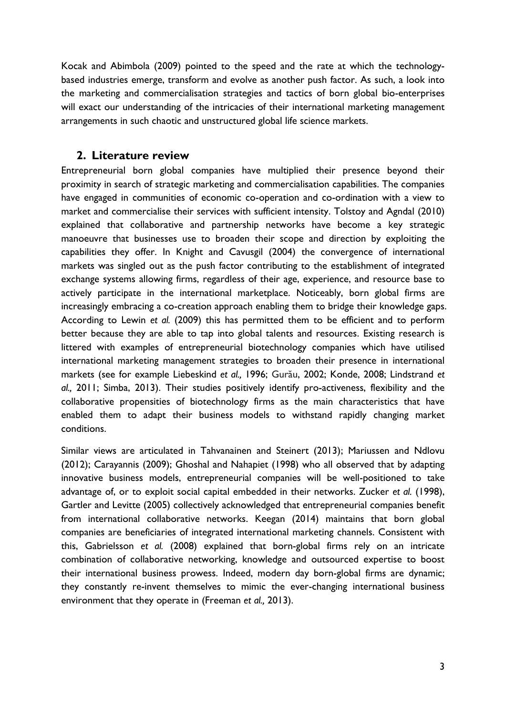Kocak and Abimbola (2009) pointed to the speed and the rate at which the technologybased industries emerge, transform and evolve as another push factor. As such, a look into the marketing and commercialisation strategies and tactics of born global bio-enterprises will exact our understanding of the intricacies of their international marketing management arrangements in such chaotic and unstructured global life science markets.

### **2. Literature review**

Entrepreneurial born global companies have multiplied their presence beyond their proximity in search of strategic marketing and commercialisation capabilities. The companies have engaged in communities of economic co-operation and co-ordination with a view to market and commercialise their services with sufficient intensity. Tolstoy and Agndal (2010) explained that collaborative and partnership networks have become a key strategic manoeuvre that businesses use to broaden their scope and direction by exploiting the capabilities they offer. In Knight and Cavusgil (2004) the convergence of international markets was singled out as the push factor contributing to the establishment of integrated exchange systems allowing firms, regardless of their age, experience, and resource base to actively participate in the international marketplace. Noticeably, born global firms are increasingly embracing a co-creation approach enabling them to bridge their knowledge gaps. According to Lewin *et al.* (2009) this has permitted them to be efficient and to perform better because they are able to tap into global talents and resources. Existing research is littered with examples of entrepreneurial biotechnology companies which have utilised international marketing management strategies to broaden their presence in international markets (see for example Liebeskind *et al.,* 1996; Gurău, 2002; Konde, 2008; Lindstrand *et al.,* 2011; Simba, 2013). Their studies positively identify pro-activeness, flexibility and the collaborative propensities of biotechnology firms as the main characteristics that have enabled them to adapt their business models to withstand rapidly changing market conditions.

Similar views are articulated in Tahvanainen and Steinert (2013); Mariussen and Ndlovu (2012); Carayannis (2009); Ghoshal and Nahapiet (1998) who all observed that by adapting innovative business models, entrepreneurial companies will be well-positioned to take advantage of, or to exploit social capital embedded in their networks. Zucker *et al.* (1998), Gartler and Levitte (2005) collectively acknowledged that entrepreneurial companies benefit from international collaborative networks. Keegan (2014) maintains that born global companies are beneficiaries of integrated international marketing channels. Consistent with this, Gabrielsson *et al.* (2008) explained that born-global firms rely on an intricate combination of collaborative networking, knowledge and outsourced expertise to boost their international business prowess. Indeed, modern day born-global firms are dynamic; they constantly re-invent themselves to mimic the ever-changing international business environment that they operate in (Freeman *et al.,* 2013).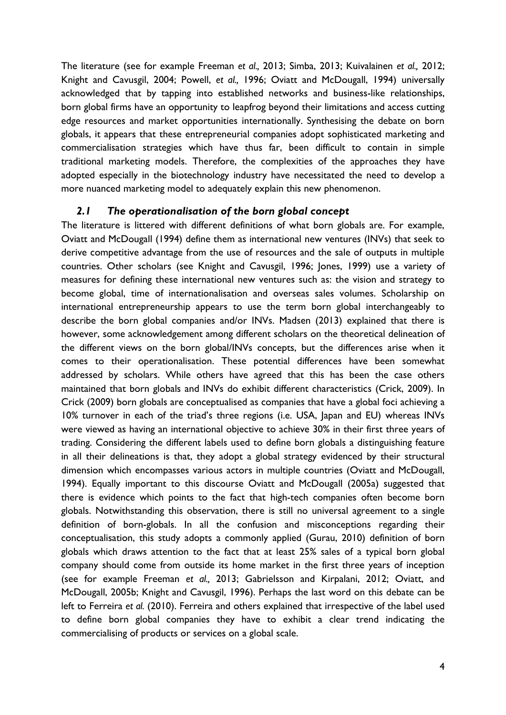The literature (see for example Freeman *et al.,* 2013; Simba, 2013; Kuivalainen *et al.,* 2012; Knight and Cavusgil, 2004; Powell, *et al.,* 1996; Oviatt and McDougall, 1994) universally acknowledged that by tapping into established networks and business-like relationships, born global firms have an opportunity to leapfrog beyond their limitations and access cutting edge resources and market opportunities internationally. Synthesising the debate on born globals, it appears that these entrepreneurial companies adopt sophisticated marketing and commercialisation strategies which have thus far, been difficult to contain in simple traditional marketing models. Therefore, the complexities of the approaches they have adopted especially in the biotechnology industry have necessitated the need to develop a more nuanced marketing model to adequately explain this new phenomenon.

### *2.1 The operationalisation of the born global concept*

The literature is littered with different definitions of what born globals are. For example, Oviatt and McDougall (1994) define them as international new ventures (INVs) that seek to derive competitive advantage from the use of resources and the sale of outputs in multiple countries. Other scholars (see Knight and Cavusgil, 1996; Jones, 1999) use a variety of measures for defining these international new ventures such as: the vision and strategy to become global, time of internationalisation and overseas sales volumes. Scholarship on international entrepreneurship appears to use the term born global interchangeably to describe the born global companies and/or INVs. Madsen (2013) explained that there is however, some acknowledgement among different scholars on the theoretical delineation of the different views on the born global/INVs concepts, but the differences arise when it comes to their operationalisation. These potential differences have been somewhat addressed by scholars. While others have agreed that this has been the case others maintained that born globals and INVs do exhibit different characteristics (Crick, 2009). In Crick (2009) born globals are conceptualised as companies that have a global foci achieving a 10% turnover in each of the triad's three regions (i.e. USA, Japan and EU) whereas INVs were viewed as having an international objective to achieve 30% in their first three years of trading. Considering the different labels used to define born globals a distinguishing feature in all their delineations is that, they adopt a global strategy evidenced by their structural dimension which encompasses various actors in multiple countries (Oviatt and McDougall, 1994). Equally important to this discourse Oviatt and McDougall (2005a) suggested that there is evidence which points to the fact that high-tech companies often become born globals. Notwithstanding this observation, there is still no universal agreement to a single definition of born-globals. In all the confusion and misconceptions regarding their conceptualisation, this study adopts a commonly applied (Gurau, 2010) definition of born globals which draws attention to the fact that at least 25% sales of a typical born global company should come from outside its home market in the first three years of inception (see for example Freeman *et al.,* 2013; Gabrielsson and Kirpalani, 2012; Oviatt, and McDougall, 2005b; Knight and Cavusgil, 1996). Perhaps the last word on this debate can be left to Ferreira *et al.* (2010). Ferreira and others explained that irrespective of the label used to define born global companies they have to exhibit a clear trend indicating the commercialising of products or services on a global scale.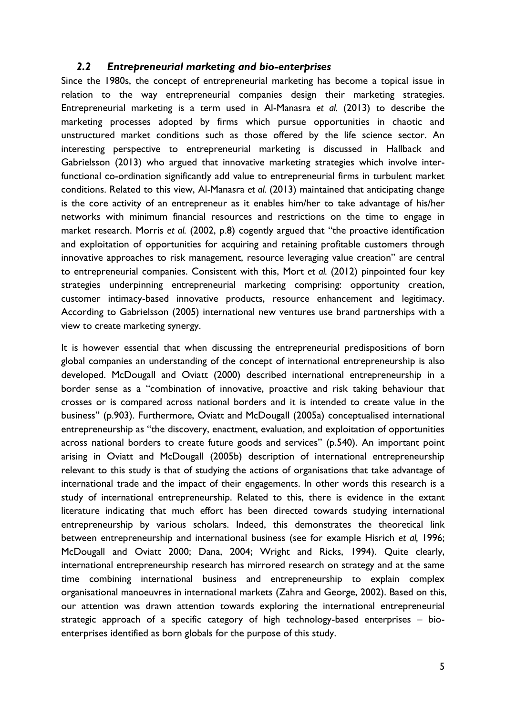#### *2.2 Entrepreneurial marketing and bio-enterprises*

Since the 1980s, the concept of entrepreneurial marketing has become a topical issue in relation to the way entrepreneurial companies design their marketing strategies. Entrepreneurial marketing is a term used in Al-Manasra *et al.* (2013) to describe the marketing processes adopted by firms which pursue opportunities in chaotic and unstructured market conditions such as those offered by the life science sector. An interesting perspective to entrepreneurial marketing is discussed in Hallback and Gabrielsson (2013) who argued that innovative marketing strategies which involve interfunctional co-ordination significantly add value to entrepreneurial firms in turbulent market conditions. Related to this view, Al-Manasra *et al.* (2013) maintained that anticipating change is the core activity of an entrepreneur as it enables him/her to take advantage of his/her networks with minimum financial resources and restrictions on the time to engage in market research. Morris *et al.* (2002, p.8) cogently argued that "the proactive identification and exploitation of opportunities for acquiring and retaining profitable customers through innovative approaches to risk management, resource leveraging value creation" are central to entrepreneurial companies. Consistent with this, Mort *et al.* (2012) pinpointed four key strategies underpinning entrepreneurial marketing comprising: opportunity creation, customer intimacy-based innovative products, resource enhancement and legitimacy. According to Gabrielsson (2005) international new ventures use brand partnerships with a view to create marketing synergy.

It is however essential that when discussing the entrepreneurial predispositions of born global companies an understanding of the concept of international entrepreneurship is also developed. McDougall and Oviatt (2000) described international entrepreneurship in a border sense as a "combination of innovative, proactive and risk taking behaviour that crosses or is compared across national borders and it is intended to create value in the business" (p.903). Furthermore, Oviatt and McDougall (2005a) conceptualised international entrepreneurship as "the discovery, enactment, evaluation, and exploitation of opportunities across national borders to create future goods and services" (p.540). An important point arising in Oviatt and McDougall (2005b) description of international entrepreneurship relevant to this study is that of studying the actions of organisations that take advantage of international trade and the impact of their engagements. In other words this research is a study of international entrepreneurship. Related to this, there is evidence in the extant literature indicating that much effort has been directed towards studying international entrepreneurship by various scholars. Indeed, this demonstrates the theoretical link between entrepreneurship and international business (see for example Hisrich *et al,* 1996; McDougall and Oviatt 2000; Dana, 2004; Wright and Ricks, 1994). Quite clearly, international entrepreneurship research has mirrored research on strategy and at the same time combining international business and entrepreneurship to explain complex organisational manoeuvres in international markets (Zahra and George, 2002). Based on this, our attention was drawn attention towards exploring the international entrepreneurial strategic approach of a specific category of high technology-based enterprises – bioenterprises identified as born globals for the purpose of this study.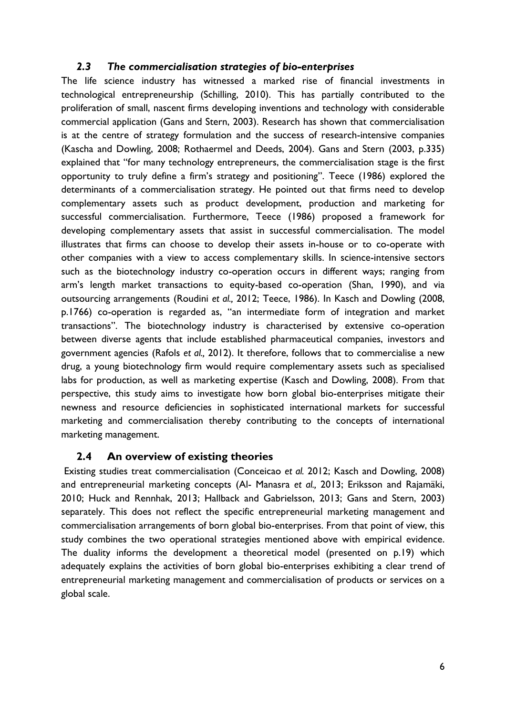#### *2.3 The commercialisation strategies of bio-enterprises*

The life science industry has witnessed a marked rise of financial investments in technological entrepreneurship (Schilling, 2010). This has partially contributed to the proliferation of small, nascent firms developing inventions and technology with considerable commercial application (Gans and Stern, 2003). Research has shown that commercialisation is at the centre of strategy formulation and the success of research-intensive companies (Kascha and Dowling, 2008; Rothaermel and Deeds, 2004). Gans and Stern (2003, p.335) explained that "for many technology entrepreneurs, the commercialisation stage is the first opportunity to truly define a firm's strategy and positioning". Teece (1986) explored the determinants of a commercialisation strategy. He pointed out that firms need to develop complementary assets such as product development, production and marketing for successful commercialisation. Furthermore, Teece (1986) proposed a framework for developing complementary assets that assist in successful commercialisation. The model illustrates that firms can choose to develop their assets in-house or to co-operate with other companies with a view to access complementary skills. In science-intensive sectors such as the biotechnology industry co-operation occurs in different ways; ranging from arm's length market transactions to equity-based co-operation (Shan, 1990), and via outsourcing arrangements (Roudini *et al.,* 2012; Teece, 1986). In Kasch and Dowling (2008, p.1766) co-operation is regarded as, "an intermediate form of integration and market transactions". The biotechnology industry is characterised by extensive co-operation between diverse agents that include established pharmaceutical companies, investors and government agencies (Rafols *et al.,* 2012). It therefore, follows that to commercialise a new drug, a young biotechnology firm would require complementary assets such as specialised labs for production, as well as marketing expertise (Kasch and Dowling, 2008). From that perspective, this study aims to investigate how born global bio-enterprises mitigate their newness and resource deficiencies in sophisticated international markets for successful marketing and commercialisation thereby contributing to the concepts of international marketing management.

#### **2.4 An overview of existing theories**

Existing studies treat commercialisation (Conceicao *et al.* 2012; Kasch and Dowling, 2008) and entrepreneurial marketing concepts (Al- Manasra *et al.,* 2013; Eriksson and Rajamäki, 2010; Huck and Rennhak, 2013; Hallback and Gabrielsson, 2013; Gans and Stern, 2003) separately. This does not reflect the specific entrepreneurial marketing management and commercialisation arrangements of born global bio-enterprises. From that point of view, this study combines the two operational strategies mentioned above with empirical evidence. The duality informs the development a theoretical model (presented on p.19) which adequately explains the activities of born global bio-enterprises exhibiting a clear trend of entrepreneurial marketing management and commercialisation of products or services on a global scale.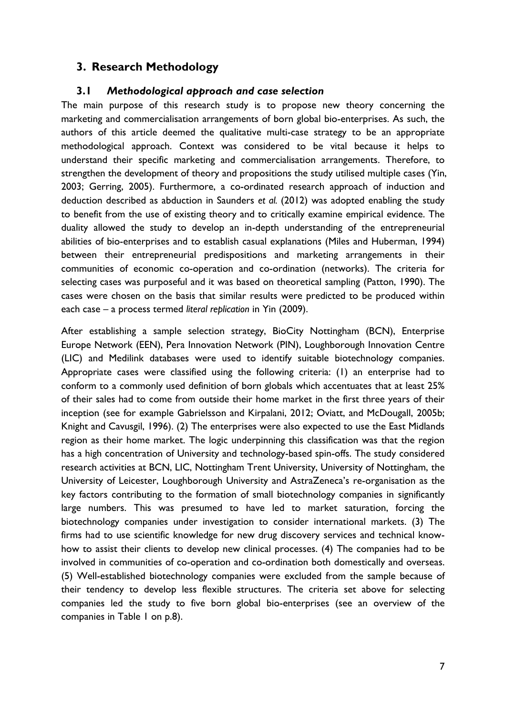## **3. Research Methodology**

#### **3.1** *Methodological approach and case selection*

The main purpose of this research study is to propose new theory concerning the marketing and commercialisation arrangements of born global bio-enterprises. As such, the authors of this article deemed the qualitative multi-case strategy to be an appropriate methodological approach. Context was considered to be vital because it helps to understand their specific marketing and commercialisation arrangements. Therefore, to strengthen the development of theory and propositions the study utilised multiple cases (Yin, 2003; Gerring, 2005). Furthermore, a co-ordinated research approach of induction and deduction described as abduction in Saunders *et al.* (2012) was adopted enabling the study to benefit from the use of existing theory and to critically examine empirical evidence. The duality allowed the study to develop an in-depth understanding of the entrepreneurial abilities of bio-enterprises and to establish casual explanations (Miles and Huberman, 1994) between their entrepreneurial predispositions and marketing arrangements in their communities of economic co-operation and co-ordination (networks). The criteria for selecting cases was purposeful and it was based on theoretical sampling (Patton, 1990). The cases were chosen on the basis that similar results were predicted to be produced within each case – a process termed *literal replication* in Yin (2009).

After establishing a sample selection strategy, BioCity Nottingham (BCN), Enterprise Europe Network (EEN), Pera Innovation Network (PIN), Loughborough Innovation Centre (LIC) and Medilink databases were used to identify suitable biotechnology companies. Appropriate cases were classified using the following criteria: (1) an enterprise had to conform to a commonly used definition of born globals which accentuates that at least 25% of their sales had to come from outside their home market in the first three years of their inception (see for example Gabrielsson and Kirpalani, 2012; Oviatt, and McDougall, 2005b; Knight and Cavusgil, 1996). (2) The enterprises were also expected to use the East Midlands region as their home market. The logic underpinning this classification was that the region has a high concentration of University and technology-based spin-offs. The study considered research activities at BCN, LIC, Nottingham Trent University, University of Nottingham, the University of Leicester, Loughborough University and AstraZeneca's re-organisation as the key factors contributing to the formation of small biotechnology companies in significantly large numbers. This was presumed to have led to market saturation, forcing the biotechnology companies under investigation to consider international markets. (3) The firms had to use scientific knowledge for new drug discovery services and technical knowhow to assist their clients to develop new clinical processes. (4) The companies had to be involved in communities of co-operation and co-ordination both domestically and overseas. (5) Well-established biotechnology companies were excluded from the sample because of their tendency to develop less flexible structures. The criteria set above for selecting companies led the study to five born global bio-enterprises (see an overview of the companies in Table 1 on p.8).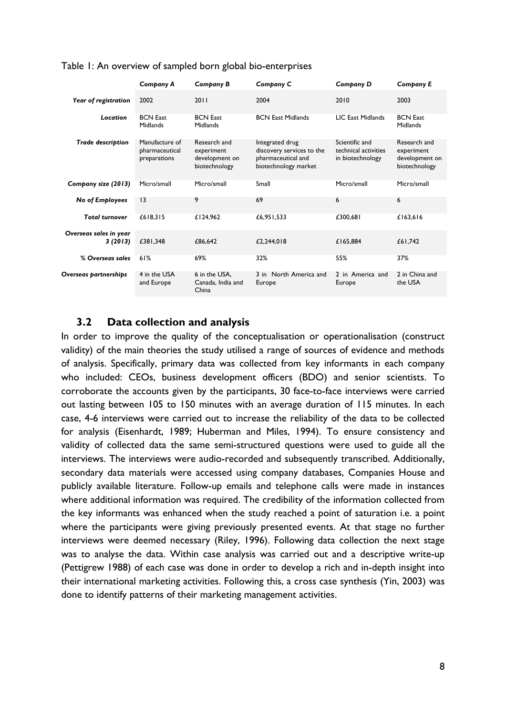|                                   | Company A                                        | Company B                                                     | Company C                                                                                  | Company D                                                  | <b>Company E</b>                                              |
|-----------------------------------|--------------------------------------------------|---------------------------------------------------------------|--------------------------------------------------------------------------------------------|------------------------------------------------------------|---------------------------------------------------------------|
| Year of registration              | 2002                                             | 2011                                                          | 2004                                                                                       | 2010                                                       | 2003                                                          |
| Location                          | <b>BCN</b> East<br>Midlands                      | <b>BCN East</b><br>Midlands                                   | <b>BCN East Midlands</b>                                                                   | <b>LIC East Midlands</b>                                   | <b>BCN</b> East<br>Midlands                                   |
| <b>Trade description</b>          | Manufacture of<br>pharmaceutical<br>preparations | Research and<br>experiment<br>development on<br>biotechnology | Integrated drug<br>discovery services to the<br>pharmaceutical and<br>biotechnology market | Scientific and<br>technical activities<br>in biotechnology | Research and<br>experiment<br>development on<br>biotechnology |
| Company size (2013)               | Micro/small                                      | Micro/small                                                   | Small                                                                                      | Micro/small                                                | Micro/small                                                   |
| <b>No of Employees</b>            | 13                                               | 9                                                             | 69                                                                                         | 6                                                          | 6                                                             |
| <b>Total turnover</b>             | £618,315                                         | £124,962                                                      | £6,951,533                                                                                 | £300,681                                                   | £163,616                                                      |
| Overseas sales in year<br>3(2013) | £381,348                                         | £86,642                                                       | £2,244,018                                                                                 | £165,884                                                   | £61,742                                                       |
| % Overseas sales                  | 61%                                              | 69%                                                           | 32%                                                                                        | 55%                                                        | 37%                                                           |
| Overseas partnerships             | 4 in the USA<br>and Europe                       | 6 in the USA,<br>Canada, India and<br>China                   | 3 in North America and<br>Europe                                                           | 2 in America and<br>Europe                                 | 2 in China and<br>the USA                                     |

Table 1: An overview of sampled born global bio-enterprises

### **3.2 Data collection and analysis**

In order to improve the quality of the conceptualisation or operationalisation (construct validity) of the main theories the study utilised a range of sources of evidence and methods of analysis. Specifically, primary data was collected from key informants in each company who included: CEOs, business development officers (BDO) and senior scientists. To corroborate the accounts given by the participants, 30 face-to-face interviews were carried out lasting between 105 to 150 minutes with an average duration of 115 minutes. In each case, 4-6 interviews were carried out to increase the reliability of the data to be collected for analysis (Eisenhardt, 1989; Huberman and Miles, 1994). To ensure consistency and validity of collected data the same semi-structured questions were used to guide all the interviews. The interviews were audio-recorded and subsequently transcribed. Additionally, secondary data materials were accessed using company databases, Companies House and publicly available literature. Follow-up emails and telephone calls were made in instances where additional information was required. The credibility of the information collected from the key informants was enhanced when the study reached a point of saturation i.e. a point where the participants were giving previously presented events. At that stage no further interviews were deemed necessary (Riley, 1996). Following data collection the next stage was to analyse the data. Within case analysis was carried out and a descriptive write-up (Pettigrew 1988) of each case was done in order to develop a rich and in-depth insight into their international marketing activities. Following this, a cross case synthesis (Yin, 2003) was done to identify patterns of their marketing management activities.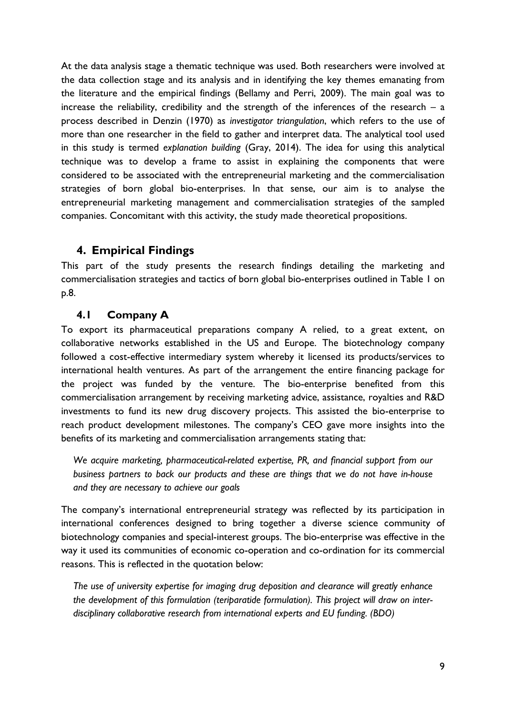At the data analysis stage a thematic technique was used. Both researchers were involved at the data collection stage and its analysis and in identifying the key themes emanating from the literature and the empirical findings (Bellamy and Perri, 2009). The main goal was to increase the reliability, credibility and the strength of the inferences of the research  $-$  a process described in Denzin (1970) as *investigator triangulation*, which refers to the use of more than one researcher in the field to gather and interpret data. The analytical tool used in this study is termed *explanation building* (Gray, 2014). The idea for using this analytical technique was to develop a frame to assist in explaining the components that were considered to be associated with the entrepreneurial marketing and the commercialisation strategies of born global bio-enterprises. In that sense, our aim is to analyse the entrepreneurial marketing management and commercialisation strategies of the sampled companies. Concomitant with this activity, the study made theoretical propositions.

## **4. Empirical Findings**

This part of the study presents the research findings detailing the marketing and commercialisation strategies and tactics of born global bio-enterprises outlined in Table 1 on p.8.

### **4.1 Company A**

To export its pharmaceutical preparations company A relied, to a great extent, on collaborative networks established in the US and Europe. The biotechnology company followed a cost-effective intermediary system whereby it licensed its products/services to international health ventures. As part of the arrangement the entire financing package for the project was funded by the venture. The bio-enterprise benefited from this commercialisation arrangement by receiving marketing advice, assistance, royalties and R&D investments to fund its new drug discovery projects. This assisted the bio-enterprise to reach product development milestones. The company's CEO gave more insights into the benefits of its marketing and commercialisation arrangements stating that:

*We acquire marketing, pharmaceutical-related expertise, PR, and financial support from our business partners to back our products and these are things that we do not have in-house and they are necessary to achieve our goals*

The company's international entrepreneurial strategy was reflected by its participation in international conferences designed to bring together a diverse science community of biotechnology companies and special-interest groups. The bio-enterprise was effective in the way it used its communities of economic co-operation and co-ordination for its commercial reasons. This is reflected in the quotation below:

*The use of university expertise for imaging drug deposition and clearance will greatly enhance the development of this formulation (teriparatide formulation). This project will draw on interdisciplinary collaborative research from international experts and EU funding. (BDO)*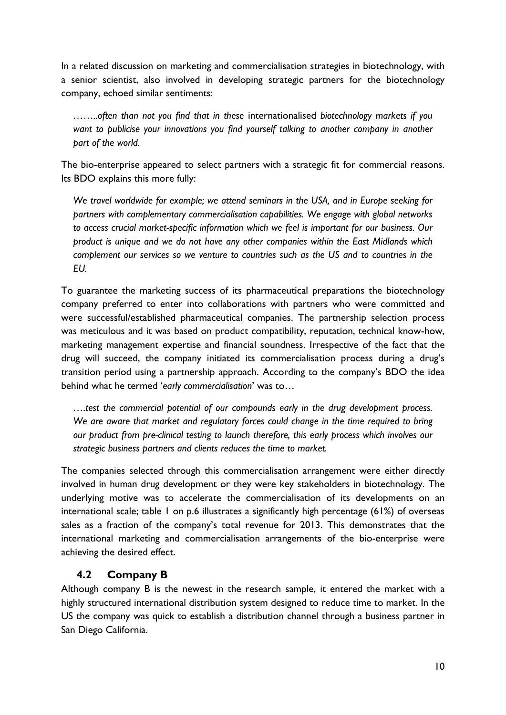In a related discussion on marketing and commercialisation strategies in biotechnology, with a senior scientist, also involved in developing strategic partners for the biotechnology company, echoed similar sentiments:

*……..often than not you find that in these* internationalised *biotechnology markets if you want to publicise your innovations you find yourself talking to another company in another part of the world.* 

The bio-enterprise appeared to select partners with a strategic fit for commercial reasons. Its BDO explains this more fully:

*We travel worldwide for example; we attend seminars in the USA, and in Europe seeking for partners with complementary commercialisation capabilities. We engage with global networks to access crucial market-specific information which we feel is important for our business. Our product is unique and we do not have any other companies within the East Midlands which complement our services so we venture to countries such as the US and to countries in the EU.* 

To guarantee the marketing success of its pharmaceutical preparations the biotechnology company preferred to enter into collaborations with partners who were committed and were successful/established pharmaceutical companies. The partnership selection process was meticulous and it was based on product compatibility, reputation, technical know-how, marketing management expertise and financial soundness. Irrespective of the fact that the drug will succeed, the company initiated its commercialisation process during a drug's transition period using a partnership approach. According to the company's BDO the idea behind what he termed '*early commercialisation*' was to…

*….test the commercial potential of our compounds early in the drug development process.*  We are aware that market and regulatory forces could change in the time required to bring *our product from pre-clinical testing to launch therefore, this early process which involves our strategic business partners and clients reduces the time to market.*

The companies selected through this commercialisation arrangement were either directly involved in human drug development or they were key stakeholders in biotechnology. The underlying motive was to accelerate the commercialisation of its developments on an international scale; table 1 on p.6 illustrates a significantly high percentage (61%) of overseas sales as a fraction of the company's total revenue for 2013. This demonstrates that the international marketing and commercialisation arrangements of the bio-enterprise were achieving the desired effect.

### **4.2 Company B**

Although company B is the newest in the research sample, it entered the market with a highly structured international distribution system designed to reduce time to market. In the US the company was quick to establish a distribution channel through a business partner in San Diego California.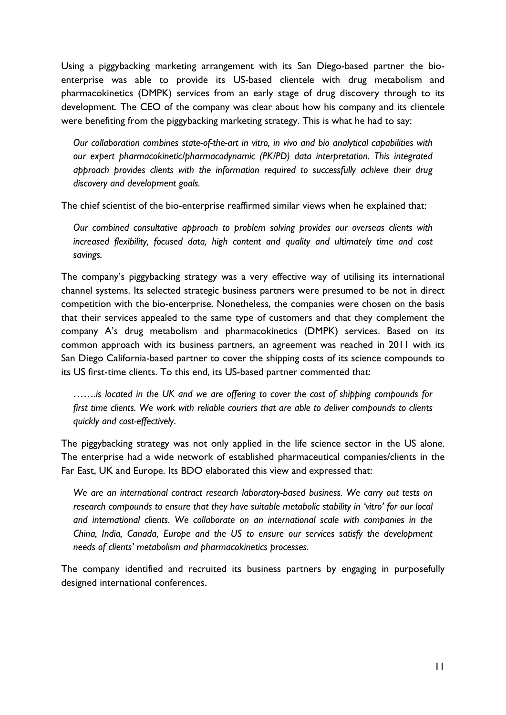Using a piggybacking marketing arrangement with its San Diego-based partner the bioenterprise was able to provide its US-based clientele with drug metabolism and pharmacokinetics (DMPK) services from an early stage of drug discovery through to its development. The CEO of the company was clear about how his company and its clientele were benefiting from the piggybacking marketing strategy. This is what he had to say:

*Our collaboration combines state-of-the-art in vitro, in vivo and bio analytical capabilities with our expert pharmacokinetic/pharmacodynamic (PK/PD) data interpretation. This integrated approach provides clients with the information required to successfully achieve their drug discovery and development goals.*

The chief scientist of the bio-enterprise reaffirmed similar views when he explained that:

*Our combined consultative approach to problem solving provides our overseas clients with increased flexibility, focused data, high content and quality and ultimately time and cost savings.* 

The company's piggybacking strategy was a very effective way of utilising its international channel systems. Its selected strategic business partners were presumed to be not in direct competition with the bio-enterprise. Nonetheless, the companies were chosen on the basis that their services appealed to the same type of customers and that they complement the company A's drug metabolism and pharmacokinetics (DMPK) services. Based on its common approach with its business partners, an agreement was reached in 2011 with its San Diego California-based partner to cover the shipping costs of its science compounds to its US first-time clients. To this end, its US-based partner commented that:

…….*is located in the UK and we are offering to cover the cost of shipping compounds for first time clients. We work with reliable couriers that are able to deliver compounds to clients quickly and cost-effectively*.

The piggybacking strategy was not only applied in the life science sector in the US alone. The enterprise had a wide network of established pharmaceutical companies/clients in the Far East, UK and Europe. Its BDO elaborated this view and expressed that:

*We are an international contract research laboratory-based business. We carry out tests on research compounds to ensure that they have suitable metabolic stability in 'vitro' for our local and international clients. We collaborate on an international scale with companies in the China, India, Canada, Europe and the US to ensure our services satisfy the development needs of clients' metabolism and pharmacokinetics processes.*

The company identified and recruited its business partners by engaging in purposefully designed international conferences.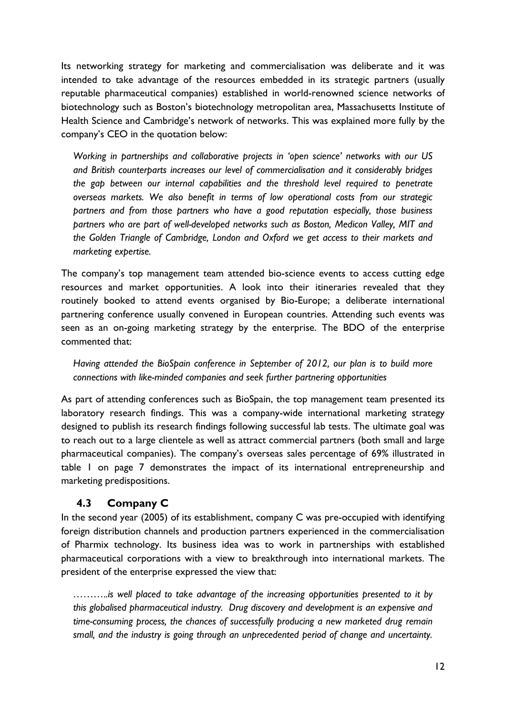Its networking strategy for marketing and commercialisation was deliberate and it was intended to take advantage of the resources embedded in its strategic partners (usually reputable pharmaceutical companies) established in world-renowned science networks of biotechnology such as Boston's biotechnology metropolitan area, Massachusetts Institute of Health Science and Cambridge's network of networks. This was explained more fully by the company's CEO in the quotation below:

*Working in partnerships and collaborative projects in 'open science' networks with our US and British counterparts increases our level of commercialisation and it considerably bridges the gap between our internal capabilities and the threshold level required to penetrate overseas markets. We also benefit in terms of low operational costs from our strategic partners and from those partners who have a good reputation especially, those business partners who are part of well-developed networks such as Boston, Medicon Valley, MIT and the Golden Triangle of Cambridge, London and Oxford we get access to their markets and marketing expertise.* 

The company's top management team attended bio-science events to access cutting edge resources and market opportunities. A look into their itineraries revealed that they routinely booked to attend events organised by Bio-Europe; a deliberate international partnering conference usually convened in European countries. Attending such events was seen as an on-going marketing strategy by the enterprise. The BDO of the enterprise commented that:

*Having attended the BioSpain conference in September of 2012, our plan is to build more connections with like-minded companies and seek further partnering opportunities*

As part of attending conferences such as BioSpain, the top management team presented its laboratory research findings. This was a company-wide international marketing strategy designed to publish its research findings following successful lab tests. The ultimate goal was to reach out to a large clientele as well as attract commercial partners (both small and large pharmaceutical companies). The company's overseas sales percentage of 69% illustrated in table 1 on page 7 demonstrates the impact of its international entrepreneurship and marketing predispositions.

### **4.3 Company C**

In the second year (2005) of its establishment, company C was pre-occupied with identifying foreign distribution channels and production partners experienced in the commercialisation of Pharmix technology. Its business idea was to work in partnerships with established pharmaceutical corporations with a view to breakthrough into international markets. The president of the enterprise expressed the view that:

*………..is well placed to take advantage of the increasing opportunities presented to it by this globalised pharmaceutical industry. Drug discovery and development is an expensive and time-consuming process, the chances of successfully producing a new marketed drug remain small, and the industry is going through an unprecedented period of change and uncertainty.*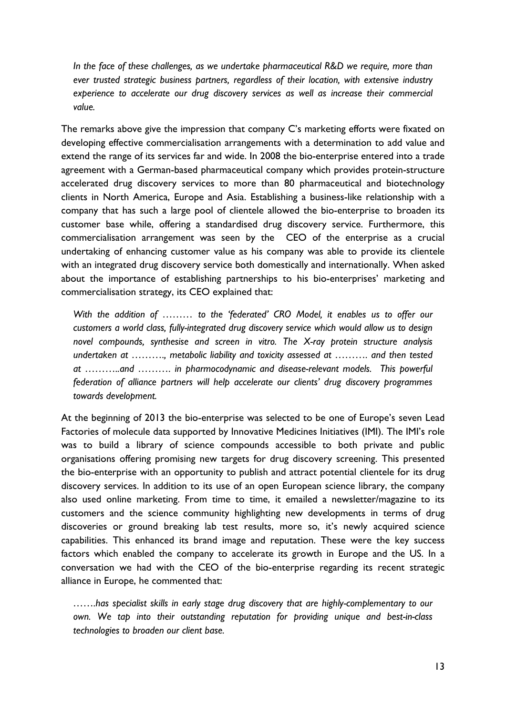*In the face of these challenges, as we undertake pharmaceutical R&D we require, more than ever trusted strategic business partners, regardless of their location, with extensive industry experience to accelerate our drug discovery services as well as increase their commercial value.*

The remarks above give the impression that company C's marketing efforts were fixated on developing effective commercialisation arrangements with a determination to add value and extend the range of its services far and wide. In 2008 the bio-enterprise entered into a trade agreement with a German-based pharmaceutical company which provides protein-structure accelerated drug discovery services to more than 80 pharmaceutical and biotechnology clients in North America, Europe and Asia. Establishing a business-like relationship with a company that has such a large pool of clientele allowed the bio-enterprise to broaden its customer base while, offering a standardised drug discovery service. Furthermore, this commercialisation arrangement was seen by the CEO of the enterprise as a crucial undertaking of enhancing customer value as his company was able to provide its clientele with an integrated drug discovery service both domestically and internationally. When asked about the importance of establishing partnerships to his bio-enterprises' marketing and commercialisation strategy, its CEO explained that:

*With the addition of ……… to the 'federated' CRO Model, it enables us to offer our customers a world class, fully-integrated drug discovery service which would allow us to design novel compounds, synthesise and screen in vitro. The X-ray protein structure analysis undertaken at ………., metabolic liability and toxicity assessed at ………. and then tested at ………..and ………. in pharmocodynamic and disease-relevant models. This powerful federation of alliance partners will help accelerate our clients' drug discovery programmes towards development.*

At the beginning of 2013 the bio-enterprise was selected to be one of Europe's seven Lead Factories of molecule data supported by Innovative Medicines Initiatives (IMI). The IMI's role was to build a library of science compounds accessible to both private and public organisations offering promising new targets for drug discovery screening. This presented the bio-enterprise with an opportunity to publish and attract potential clientele for its drug discovery services. In addition to its use of an open European science library, the company also used online marketing. From time to time, it emailed a newsletter/magazine to its customers and the science community highlighting new developments in terms of drug discoveries or ground breaking lab test results, more so, it's newly acquired science capabilities. This enhanced its brand image and reputation. These were the key success factors which enabled the company to accelerate its growth in Europe and the US. In a conversation we had with the CEO of the bio-enterprise regarding its recent strategic alliance in Europe, he commented that:

*…….has specialist skills in early stage drug discovery that are highly-complementary to our own. We tap into their outstanding reputation for providing unique and best-in-class technologies to broaden our client base.*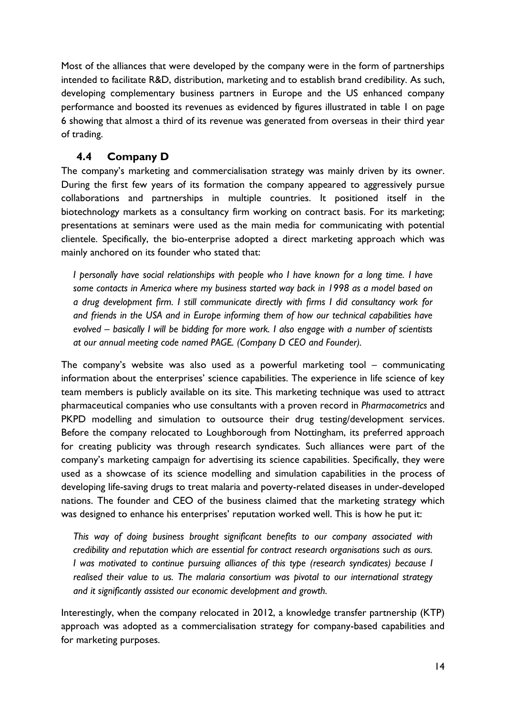Most of the alliances that were developed by the company were in the form of partnerships intended to facilitate R&D, distribution, marketing and to establish brand credibility. As such, developing complementary business partners in Europe and the US enhanced company performance and boosted its revenues as evidenced by figures illustrated in table 1 on page 6 showing that almost a third of its revenue was generated from overseas in their third year of trading.

### **4.4 Company D**

The company's marketing and commercialisation strategy was mainly driven by its owner. During the first few years of its formation the company appeared to aggressively pursue collaborations and partnerships in multiple countries. It positioned itself in the biotechnology markets as a consultancy firm working on contract basis. For its marketing; presentations at seminars were used as the main media for communicating with potential clientele. Specifically, the bio-enterprise adopted a direct marketing approach which was mainly anchored on its founder who stated that:

*I personally have social relationships with people who I have known for a long time. I have some contacts in America where my business started way back in 1998 as a model based on a drug development firm. I still communicate directly with firms I did consultancy work for and friends in the USA and in Europe informing them of how our technical capabilities have evolved – basically I will be bidding for more work. I also engage with a number of scientists at our annual meeting code named PAGE. (Company D CEO and Founder).*

The company's website was also used as a powerful marketing tool – communicating information about the enterprises' science capabilities. The experience in life science of key team members is publicly available on its site. This marketing technique was used to attract pharmaceutical companies who use consultants with a proven record in *Pharmacometrics* and PKPD modelling and simulation to outsource their drug testing/development services. Before the company relocated to Loughborough from Nottingham, its preferred approach for creating publicity was through research syndicates. Such alliances were part of the company's marketing campaign for advertising its science capabilities. Specifically, they were used as a showcase of its science modelling and simulation capabilities in the process of developing life-saving drugs to treat malaria and poverty-related diseases in under-developed nations. The founder and CEO of the business claimed that the marketing strategy which was designed to enhance his enterprises' reputation worked well. This is how he put it:

*This way of doing business brought significant benefits to our company associated with credibility and reputation which are essential for contract research organisations such as ours. I was motivated to continue pursuing alliances of this type (research syndicates) because I realised their value to us. The malaria consortium was pivotal to our international strategy and it significantly assisted our economic development and growth.* 

Interestingly, when the company relocated in 2012, a knowledge transfer partnership (KTP) approach was adopted as a commercialisation strategy for company-based capabilities and for marketing purposes.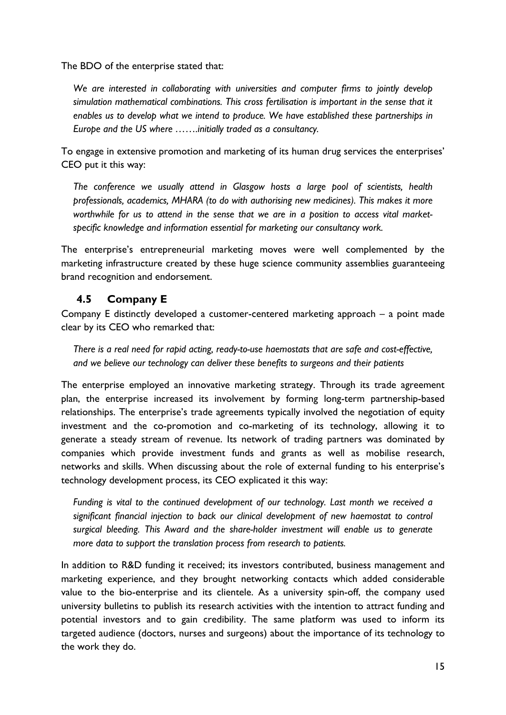The BDO of the enterprise stated that:

*We are interested in collaborating with universities and computer firms to jointly develop simulation mathematical combinations. This cross fertilisation is important in the sense that it enables us to develop what we intend to produce. We have established these partnerships in Europe and the US where …….initially traded as a consultancy.* 

To engage in extensive promotion and marketing of its human drug services the enterprises' CEO put it this way:

*The conference we usually attend in Glasgow hosts a large pool of scientists, health professionals, academics, MHARA (to do with authorising new medicines). This makes it more worthwhile for us to attend in the sense that we are in a position to access vital marketspecific knowledge and information essential for marketing our consultancy work.*

The enterprise's entrepreneurial marketing moves were well complemented by the marketing infrastructure created by these huge science community assemblies guaranteeing brand recognition and endorsement.

### **4.5 Company E**

Company E distinctly developed a customer-centered marketing approach – a point made clear by its CEO who remarked that:

*There is a real need for rapid acting, ready-to-use haemostats that are safe and cost-effective, and we believe our technology can deliver these benefits to surgeons and their patients* 

The enterprise employed an innovative marketing strategy. Through its trade agreement plan, the enterprise increased its involvement by forming long-term partnership-based relationships. The enterprise's trade agreements typically involved the negotiation of equity investment and the co-promotion and co-marketing of its technology, allowing it to generate a steady stream of revenue. Its network of trading partners was dominated by companies which provide investment funds and grants as well as mobilise research, networks and skills. When discussing about the role of external funding to his enterprise's technology development process, its CEO explicated it this way:

*Funding is vital to the continued development of our technology. Last month we received a significant financial injection to back our clinical development of new haemostat to control surgical bleeding. This Award and the share-holder investment will enable us to generate more data to support the translation process from research to patients.* 

In addition to R&D funding it received; its investors contributed, business management and marketing experience, and they brought networking contacts which added considerable value to the bio-enterprise and its clientele. As a university spin-off, the company used university bulletins to publish its research activities with the intention to attract funding and potential investors and to gain credibility. The same platform was used to inform its targeted audience (doctors, nurses and surgeons) about the importance of its technology to the work they do.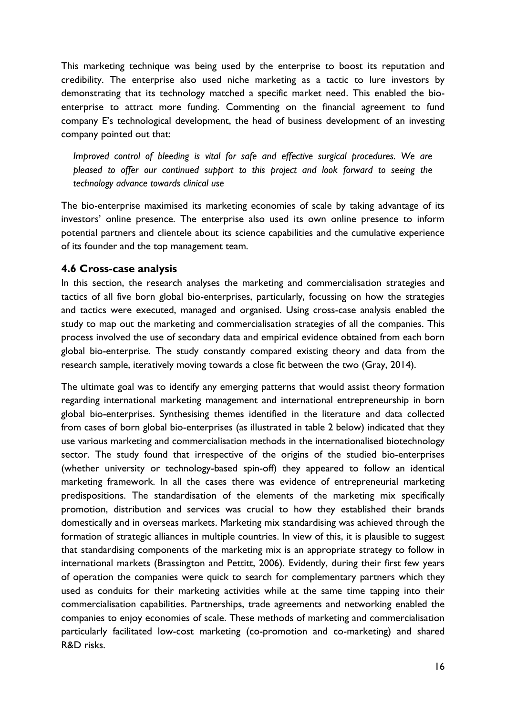This marketing technique was being used by the enterprise to boost its reputation and credibility. The enterprise also used niche marketing as a tactic to lure investors by demonstrating that its technology matched a specific market need. This enabled the bioenterprise to attract more funding. Commenting on the financial agreement to fund company E's technological development, the head of business development of an investing company pointed out that:

*Improved control of bleeding is vital for safe and effective surgical procedures. We are pleased to offer our continued support to this project and look forward to seeing the technology advance towards clinical use*

The bio-enterprise maximised its marketing economies of scale by taking advantage of its investors' online presence. The enterprise also used its own online presence to inform potential partners and clientele about its science capabilities and the cumulative experience of its founder and the top management team.

### **4.6 Cross-case analysis**

In this section, the research analyses the marketing and commercialisation strategies and tactics of all five born global bio-enterprises, particularly, focussing on how the strategies and tactics were executed, managed and organised. Using cross-case analysis enabled the study to map out the marketing and commercialisation strategies of all the companies. This process involved the use of secondary data and empirical evidence obtained from each born global bio-enterprise. The study constantly compared existing theory and data from the research sample, iteratively moving towards a close fit between the two (Gray, 2014).

The ultimate goal was to identify any emerging patterns that would assist theory formation regarding international marketing management and international entrepreneurship in born global bio-enterprises. Synthesising themes identified in the literature and data collected from cases of born global bio-enterprises (as illustrated in table 2 below) indicated that they use various marketing and commercialisation methods in the internationalised biotechnology sector. The study found that irrespective of the origins of the studied bio-enterprises (whether university or technology-based spin-off) they appeared to follow an identical marketing framework. In all the cases there was evidence of entrepreneurial marketing predispositions. The standardisation of the elements of the marketing mix specifically promotion, distribution and services was crucial to how they established their brands domestically and in overseas markets. Marketing mix standardising was achieved through the formation of strategic alliances in multiple countries. In view of this, it is plausible to suggest that standardising components of the marketing mix is an appropriate strategy to follow in international markets (Brassington and Pettitt, 2006). Evidently, during their first few years of operation the companies were quick to search for complementary partners which they used as conduits for their marketing activities while at the same time tapping into their commercialisation capabilities. Partnerships, trade agreements and networking enabled the companies to enjoy economies of scale. These methods of marketing and commercialisation particularly facilitated low-cost marketing (co-promotion and co-marketing) and shared R&D risks.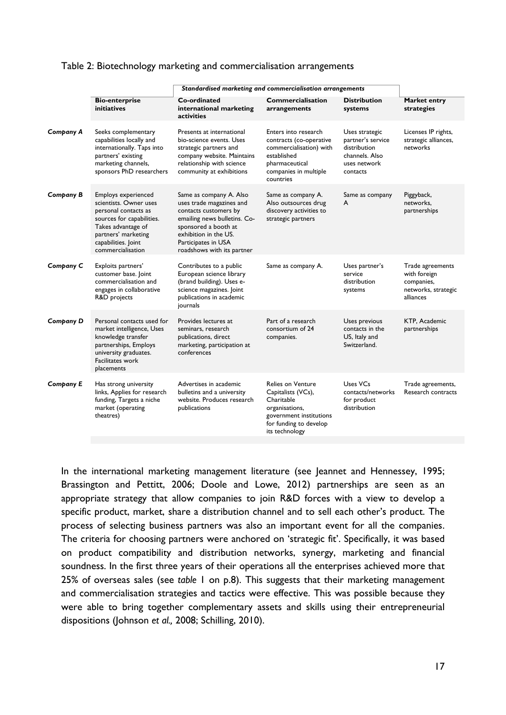#### Table 2: Biotechnology marketing and commercialisation arrangements

|                  |                                                                                                                                                                                             | Standardised marketing and commercialisation arrangements                                                                                                                                                          |                                                                                                                                                   |                                                                                                   |                                                                                    |
|------------------|---------------------------------------------------------------------------------------------------------------------------------------------------------------------------------------------|--------------------------------------------------------------------------------------------------------------------------------------------------------------------------------------------------------------------|---------------------------------------------------------------------------------------------------------------------------------------------------|---------------------------------------------------------------------------------------------------|------------------------------------------------------------------------------------|
|                  | <b>Bio-enterprise</b><br><b>initiatives</b>                                                                                                                                                 | Co-ordinated<br>international marketing<br>activities                                                                                                                                                              | Commercialisation<br>arrangements                                                                                                                 | <b>Distribution</b><br>systems                                                                    | Market entry<br>strategies                                                         |
| Company A        | Seeks complementary<br>capabilities locally and<br>internationally. Taps into<br>partners' existing<br>marketing channels,<br>sponsors PhD researchers                                      | Presents at international<br>bio-science events. Uses<br>strategic partners and<br>company website. Maintains<br>relationship with science<br>community at exhibitions                                             | Enters into research<br>contracts (co-operative<br>commercialisation) with<br>established<br>pharmaceutical<br>companies in multiple<br>countries | Uses strategic<br>partner's service<br>distribution<br>channels. Also<br>uses network<br>contacts | Licenses IP rights,<br>strategic alliances,<br>networks                            |
| <b>Company B</b> | Employs experienced<br>scientists. Owner uses<br>personal contacts as<br>sources for capabilities.<br>Takes advantage of<br>partners' marketing<br>capabilities. Joint<br>commercialisation | Same as company A. Also<br>uses trade magazines and<br>contacts customers by<br>emailing news bulletins. Co-<br>sponsored a booth at<br>exhibition in the US.<br>Participates in USA<br>roadshows with its partner | Same as company A.<br>Also outsources drug<br>discovery activities to<br>strategic partners                                                       | Same as company<br>A                                                                              | Piggyback,<br>networks,<br>partnerships                                            |
| Company C        | Exploits partners'<br>customer base. Joint<br>commercialisation and<br>engages in collaborative<br>R&D projects                                                                             | Contributes to a public<br>European science library<br>(brand building). Uses e-<br>science magazines. Joint<br>publications in academic<br>journals                                                               | Same as company A.                                                                                                                                | Uses partner's<br>service<br>distribution<br>systems                                              | Trade agreements<br>with foreign<br>companies,<br>networks, strategic<br>alliances |
| Company D        | Personal contacts used for<br>market intelligence, Uses<br>knowledge transfer<br>partnerships, Employs<br>university graduates.<br><b>Facilitates work</b><br>placements                    | Provides lectures at<br>seminars, research<br>publications, direct<br>marketing, participation at<br>conferences                                                                                                   | Part of a research<br>consortium of 24<br>companies.                                                                                              | Uses previous<br>contacts in the<br>US, Italy and<br>Switzerland.                                 | KTP, Academic<br>partnerships                                                      |
| <b>Company E</b> | Has strong university<br>links, Applies for research<br>funding, Targets a niche<br>market (operating<br>theatres)                                                                          | Advertises in academic<br>bulletins and a university<br>website. Produces research<br>publications                                                                                                                 | Relies on Venture<br>Capitalists (VCs),<br>Charitable<br>organisations,<br>government institutions<br>for funding to develop<br>its technology    | Uses VCs<br>contacts/networks<br>for product<br>distribution                                      | Trade agreements,<br>Research contracts                                            |
|                  |                                                                                                                                                                                             |                                                                                                                                                                                                                    |                                                                                                                                                   |                                                                                                   |                                                                                    |

In the international marketing management literature (see Jeannet and Hennessey, 1995; Brassington and Pettitt, 2006; Doole and Lowe, 2012) partnerships are seen as an appropriate strategy that allow companies to join R&D forces with a view to develop a specific product, market, share a distribution channel and to sell each other's product. The process of selecting business partners was also an important event for all the companies. The criteria for choosing partners were anchored on 'strategic fit'. Specifically, it was based on product compatibility and distribution networks, synergy, marketing and financial soundness. In the first three years of their operations all the enterprises achieved more that 25% of overseas sales (see *table* 1 on p.8). This suggests that their marketing management and commercialisation strategies and tactics were effective. This was possible because they were able to bring together complementary assets and skills using their entrepreneurial dispositions (Johnson *et al.,* 2008; Schilling, 2010).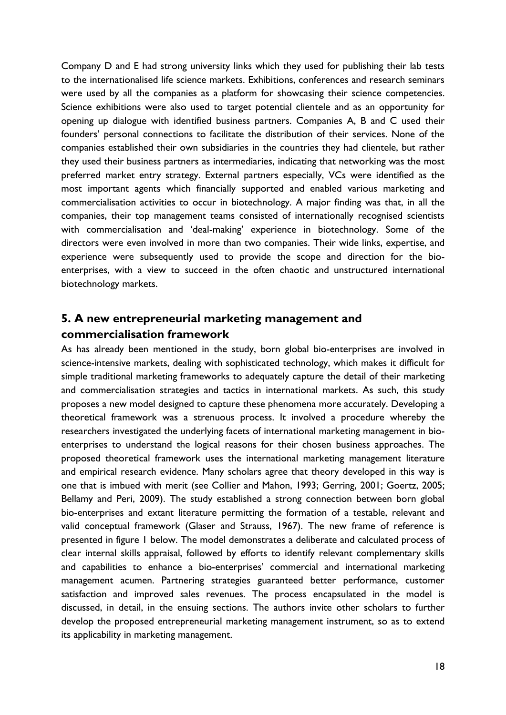Company D and E had strong university links which they used for publishing their lab tests to the internationalised life science markets. Exhibitions, conferences and research seminars were used by all the companies as a platform for showcasing their science competencies. Science exhibitions were also used to target potential clientele and as an opportunity for opening up dialogue with identified business partners. Companies A, B and C used their founders' personal connections to facilitate the distribution of their services. None of the companies established their own subsidiaries in the countries they had clientele, but rather they used their business partners as intermediaries, indicating that networking was the most preferred market entry strategy. External partners especially, VCs were identified as the most important agents which financially supported and enabled various marketing and commercialisation activities to occur in biotechnology. A major finding was that, in all the companies, their top management teams consisted of internationally recognised scientists with commercialisation and 'deal-making' experience in biotechnology. Some of the directors were even involved in more than two companies. Their wide links, expertise, and experience were subsequently used to provide the scope and direction for the bioenterprises, with a view to succeed in the often chaotic and unstructured international biotechnology markets.

# **5. A new entrepreneurial marketing management and commercialisation framework**

As has already been mentioned in the study, born global bio-enterprises are involved in science-intensive markets, dealing with sophisticated technology, which makes it difficult for simple traditional marketing frameworks to adequately capture the detail of their marketing and commercialisation strategies and tactics in international markets. As such, this study proposes a new model designed to capture these phenomena more accurately. Developing a theoretical framework was a strenuous process. It involved a procedure whereby the researchers investigated the underlying facets of international marketing management in bioenterprises to understand the logical reasons for their chosen business approaches. The proposed theoretical framework uses the international marketing management literature and empirical research evidence. Many scholars agree that theory developed in this way is one that is imbued with merit (see Collier and Mahon, 1993; Gerring, 2001; Goertz, 2005; Bellamy and Peri, 2009). The study established a strong connection between born global bio-enterprises and extant literature permitting the formation of a testable, relevant and valid conceptual framework (Glaser and Strauss, 1967). The new frame of reference is presented in figure 1 below. The model demonstrates a deliberate and calculated process of clear internal skills appraisal, followed by efforts to identify relevant complementary skills and capabilities to enhance a bio-enterprises' commercial and international marketing management acumen. Partnering strategies guaranteed better performance, customer satisfaction and improved sales revenues. The process encapsulated in the model is discussed, in detail, in the ensuing sections. The authors invite other scholars to further develop the proposed entrepreneurial marketing management instrument, so as to extend its applicability in marketing management.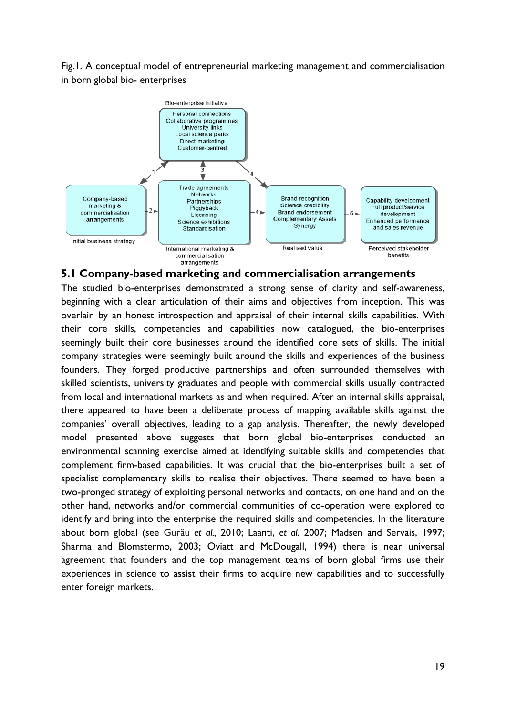Fig.1. A conceptual model of entrepreneurial marketing management and commercialisation in born global bio- enterprises



#### **5.1 Company-based marketing and commercialisation arrangements**

The studied bio-enterprises demonstrated a strong sense of clarity and self-awareness, beginning with a clear articulation of their aims and objectives from inception. This was overlain by an honest introspection and appraisal of their internal skills capabilities. With their core skills, competencies and capabilities now catalogued, the bio-enterprises seemingly built their core businesses around the identified core sets of skills. The initial company strategies were seemingly built around the skills and experiences of the business founders. They forged productive partnerships and often surrounded themselves with skilled scientists, university graduates and people with commercial skills usually contracted from local and international markets as and when required. After an internal skills appraisal, there appeared to have been a deliberate process of mapping available skills against the companies' overall objectives, leading to a gap analysis. Thereafter, the newly developed model presented above suggests that born global bio-enterprises conducted an environmental scanning exercise aimed at identifying suitable skills and competencies that complement firm-based capabilities. It was crucial that the bio-enterprises built a set of specialist complementary skills to realise their objectives. There seemed to have been a two-pronged strategy of exploiting personal networks and contacts, on one hand and on the other hand, networks and/or commercial communities of co-operation were explored to identify and bring into the enterprise the required skills and competencies. In the literature about born global (see Gurău *et al.,* 2010; Laanti, *et al.* 2007; Madsen and Servais, 1997; Sharma and Blomstermo, 2003; Oviatt and McDougall, 1994) there is near universal agreement that founders and the top management teams of born global firms use their experiences in science to assist their firms to acquire new capabilities and to successfully enter foreign markets.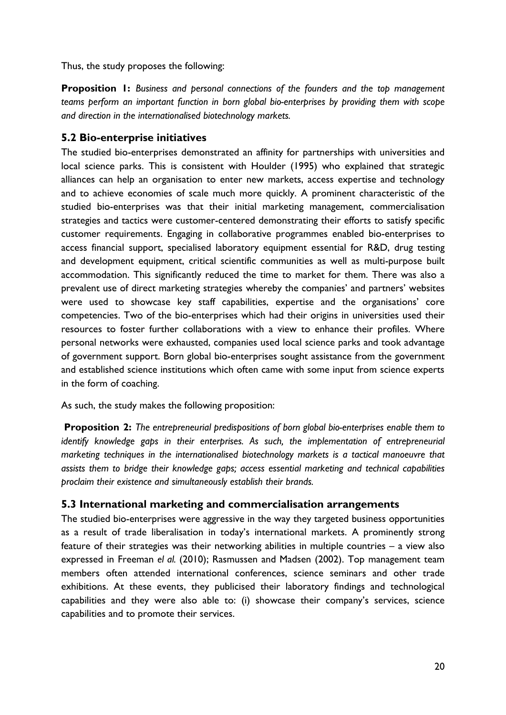Thus, the study proposes the following:

**Proposition 1:** *Business and personal connections of the founders and the top management teams perform an important function in born global bio-enterprises by providing them with scope and direction in the internationalised biotechnology markets.*

### **5.2 Bio-enterprise initiatives**

The studied bio-enterprises demonstrated an affinity for partnerships with universities and local science parks. This is consistent with Houlder (1995) who explained that strategic alliances can help an organisation to enter new markets, access expertise and technology and to achieve economies of scale much more quickly. A prominent characteristic of the studied bio-enterprises was that their initial marketing management, commercialisation strategies and tactics were customer-centered demonstrating their efforts to satisfy specific customer requirements. Engaging in collaborative programmes enabled bio-enterprises to access financial support, specialised laboratory equipment essential for R&D, drug testing and development equipment, critical scientific communities as well as multi-purpose built accommodation. This significantly reduced the time to market for them. There was also a prevalent use of direct marketing strategies whereby the companies' and partners' websites were used to showcase key staff capabilities, expertise and the organisations' core competencies. Two of the bio-enterprises which had their origins in universities used their resources to foster further collaborations with a view to enhance their profiles. Where personal networks were exhausted, companies used local science parks and took advantage of government support. Born global bio-enterprises sought assistance from the government and established science institutions which often came with some input from science experts in the form of coaching.

As such, the study makes the following proposition:

**Proposition 2:** *The entrepreneurial predispositions of born global bio-enterprises enable them to identify knowledge gaps in their enterprises. As such, the implementation of entrepreneurial marketing techniques in the internationalised biotechnology markets is a tactical manoeuvre that assists them to bridge their knowledge gaps; access essential marketing and technical capabilities proclaim their existence and simultaneously establish their brands.* 

### **5.3 International marketing and commercialisation arrangements**

The studied bio-enterprises were aggressive in the way they targeted business opportunities as a result of trade liberalisation in today's international markets. A prominently strong feature of their strategies was their networking abilities in multiple countries – a view also expressed in Freeman *el al.* (2010); Rasmussen and Madsen (2002). Top management team members often attended international conferences, science seminars and other trade exhibitions. At these events, they publicised their laboratory findings and technological capabilities and they were also able to: (i) showcase their company's services, science capabilities and to promote their services.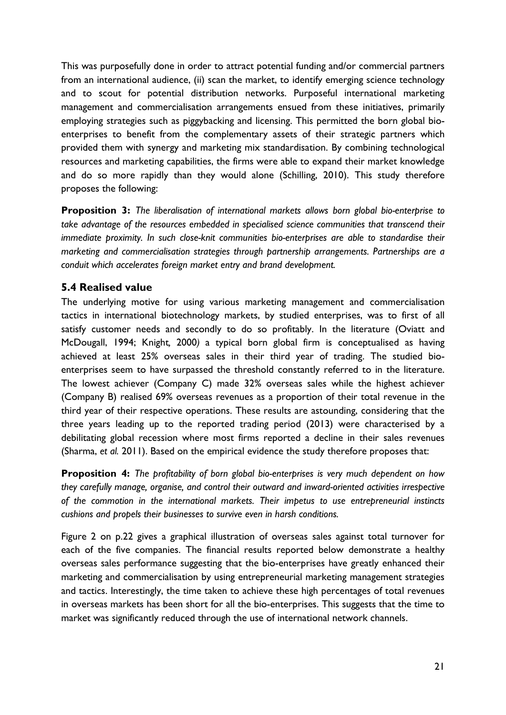This was purposefully done in order to attract potential funding and/or commercial partners from an international audience, (ii) scan the market, to identify emerging science technology and to scout for potential distribution networks. Purposeful international marketing management and commercialisation arrangements ensued from these initiatives, primarily employing strategies such as piggybacking and licensing. This permitted the born global bioenterprises to benefit from the complementary assets of their strategic partners which provided them with synergy and marketing mix standardisation. By combining technological resources and marketing capabilities, the firms were able to expand their market knowledge and do so more rapidly than they would alone (Schilling, 2010). This study therefore proposes the following:

**Proposition 3:** *The liberalisation of international markets allows born global bio-enterprise to take advantage of the resources embedded in specialised science communities that transcend their immediate proximity. In such close-knit communities bio-enterprises are able to standardise their marketing and commercialisation strategies through partnership arrangements. Partnerships are a conduit which accelerates foreign market entry and brand development.* 

### **5.4 Realised value**

The underlying motive for using various marketing management and commercialisation tactics in international biotechnology markets, by studied enterprises, was to first of all satisfy customer needs and secondly to do so profitably. In the literature (Oviatt and McDougall, 1994; Knight*,* 2000*)* a typical born global firm is conceptualised as having achieved at least 25% overseas sales in their third year of trading. The studied bioenterprises seem to have surpassed the threshold constantly referred to in the literature. The lowest achiever (Company C) made 32% overseas sales while the highest achiever (Company B) realised 69% overseas revenues as a proportion of their total revenue in the third year of their respective operations. These results are astounding, considering that the three years leading up to the reported trading period (2013) were characterised by a debilitating global recession where most firms reported a decline in their sales revenues (Sharma, *et al.* 2011). Based on the empirical evidence the study therefore proposes that:

**Proposition 4:** *The profitability of born global bio-enterprises is very much dependent on how they carefully manage, organise, and control their outward and inward-oriented activities irrespective of the commotion in the international markets. Their impetus to use entrepreneurial instincts cushions and propels their businesses to survive even in harsh conditions.*

Figure 2 on p.22 gives a graphical illustration of overseas sales against total turnover for each of the five companies. The financial results reported below demonstrate a healthy overseas sales performance suggesting that the bio-enterprises have greatly enhanced their marketing and commercialisation by using entrepreneurial marketing management strategies and tactics. Interestingly, the time taken to achieve these high percentages of total revenues in overseas markets has been short for all the bio-enterprises. This suggests that the time to market was significantly reduced through the use of international network channels.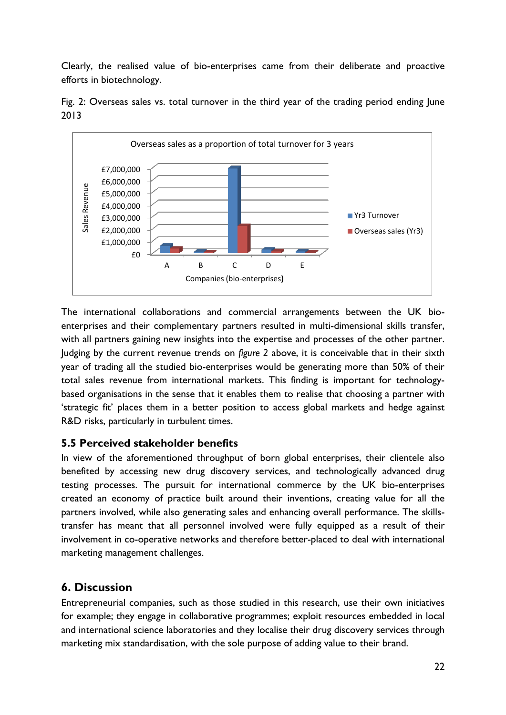Clearly, the realised value of bio-enterprises came from their deliberate and proactive efforts in biotechnology.



Fig. 2: Overseas sales vs. total turnover in the third year of the trading period ending June 2013

The international collaborations and commercial arrangements between the UK bioenterprises and their complementary partners resulted in multi-dimensional skills transfer, with all partners gaining new insights into the expertise and processes of the other partner. Judging by the current revenue trends on *figure 2* above, it is conceivable that in their sixth year of trading all the studied bio-enterprises would be generating more than 50% of their total sales revenue from international markets. This finding is important for technologybased organisations in the sense that it enables them to realise that choosing a partner with 'strategic fit' places them in a better position to access global markets and hedge against R&D risks, particularly in turbulent times.

#### **5.5 Perceived stakeholder benefits**

In view of the aforementioned throughput of born global enterprises, their clientele also benefited by accessing new drug discovery services, and technologically advanced drug testing processes. The pursuit for international commerce by the UK bio-enterprises created an economy of practice built around their inventions, creating value for all the partners involved, while also generating sales and enhancing overall performance. The skillstransfer has meant that all personnel involved were fully equipped as a result of their involvement in co-operative networks and therefore better-placed to deal with international marketing management challenges.

# **6. Discussion**

Entrepreneurial companies, such as those studied in this research, use their own initiatives for example; they engage in collaborative programmes; exploit resources embedded in local and international science laboratories and they localise their drug discovery services through marketing mix standardisation, with the sole purpose of adding value to their brand.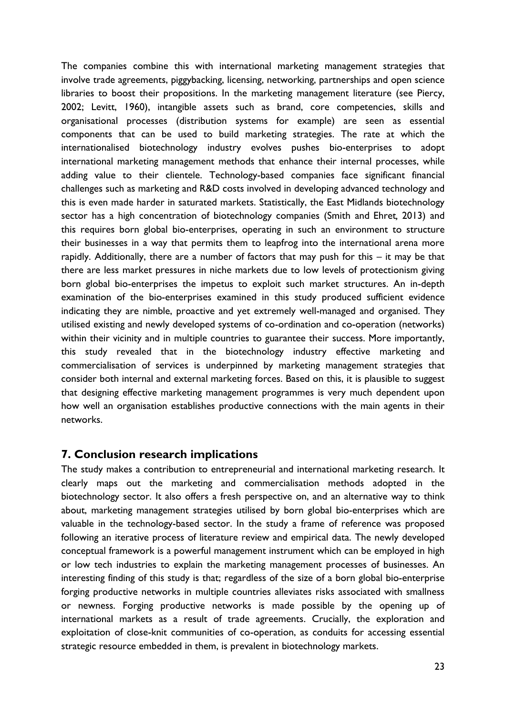The companies combine this with international marketing management strategies that involve trade agreements, piggybacking, licensing, networking, partnerships and open science libraries to boost their propositions. In the marketing management literature (see Piercy, 2002; Levitt, 1960), intangible assets such as brand, core competencies, skills and organisational processes (distribution systems for example) are seen as essential components that can be used to build marketing strategies. The rate at which the internationalised biotechnology industry evolves pushes bio-enterprises to adopt international marketing management methods that enhance their internal processes, while adding value to their clientele. Technology-based companies face significant financial challenges such as marketing and R&D costs involved in developing advanced technology and this is even made harder in saturated markets. Statistically, the East Midlands biotechnology sector has a high concentration of biotechnology companies (Smith and Ehret*,* 2013) and this requires born global bio-enterprises, operating in such an environment to structure their businesses in a way that permits them to leapfrog into the international arena more rapidly. Additionally, there are a number of factors that may push for this – it may be that there are less market pressures in niche markets due to low levels of protectionism giving born global bio-enterprises the impetus to exploit such market structures. An in-depth examination of the bio-enterprises examined in this study produced sufficient evidence indicating they are nimble, proactive and yet extremely well-managed and organised. They utilised existing and newly developed systems of co-ordination and co-operation (networks) within their vicinity and in multiple countries to guarantee their success. More importantly, this study revealed that in the biotechnology industry effective marketing and commercialisation of services is underpinned by marketing management strategies that consider both internal and external marketing forces. Based on this, it is plausible to suggest that designing effective marketing management programmes is very much dependent upon how well an organisation establishes productive connections with the main agents in their networks.

### **7. Conclusion research implications**

The study makes a contribution to entrepreneurial and international marketing research. It clearly maps out the marketing and commercialisation methods adopted in the biotechnology sector. It also offers a fresh perspective on, and an alternative way to think about, marketing management strategies utilised by born global bio-enterprises which are valuable in the technology-based sector. In the study a frame of reference was proposed following an iterative process of literature review and empirical data. The newly developed conceptual framework is a powerful management instrument which can be employed in high or low tech industries to explain the marketing management processes of businesses. An interesting finding of this study is that; regardless of the size of a born global bio-enterprise forging productive networks in multiple countries alleviates risks associated with smallness or newness. Forging productive networks is made possible by the opening up of international markets as a result of trade agreements. Crucially, the exploration and exploitation of close-knit communities of co-operation, as conduits for accessing essential strategic resource embedded in them, is prevalent in biotechnology markets.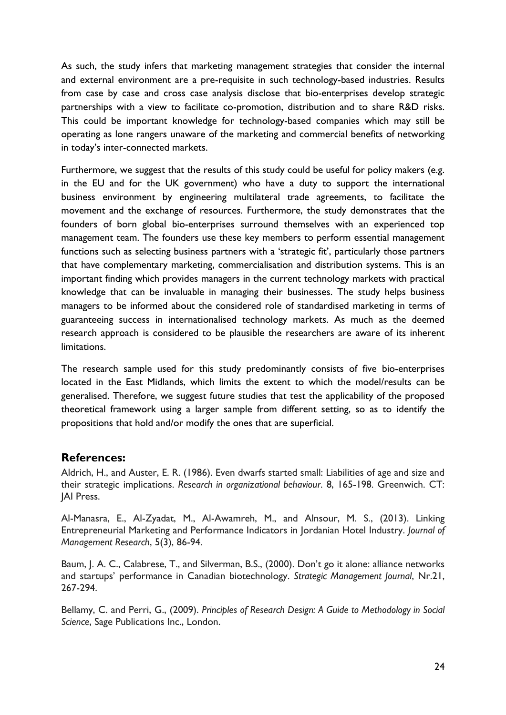As such, the study infers that marketing management strategies that consider the internal and external environment are a pre-requisite in such technology-based industries. Results from case by case and cross case analysis disclose that bio-enterprises develop strategic partnerships with a view to facilitate co-promotion, distribution and to share R&D risks. This could be important knowledge for technology-based companies which may still be operating as lone rangers unaware of the marketing and commercial benefits of networking in today's inter-connected markets.

Furthermore, we suggest that the results of this study could be useful for policy makers (e.g. in the EU and for the UK government) who have a duty to support the international business environment by engineering multilateral trade agreements, to facilitate the movement and the exchange of resources. Furthermore, the study demonstrates that the founders of born global bio-enterprises surround themselves with an experienced top management team. The founders use these key members to perform essential management functions such as selecting business partners with a 'strategic fit', particularly those partners that have complementary marketing, commercialisation and distribution systems. This is an important finding which provides managers in the current technology markets with practical knowledge that can be invaluable in managing their businesses. The study helps business managers to be informed about the considered role of standardised marketing in terms of guaranteeing success in internationalised technology markets. As much as the deemed research approach is considered to be plausible the researchers are aware of its inherent limitations.

The research sample used for this study predominantly consists of five bio-enterprises located in the East Midlands, which limits the extent to which the model/results can be generalised. Therefore, we suggest future studies that test the applicability of the proposed theoretical framework using a larger sample from different setting, so as to identify the propositions that hold and/or modify the ones that are superficial.

### **References:**

Aldrich, H., and Auster, E. R. (1986). Even dwarfs started small: Liabilities of age and size and their strategic implications. *Research in organizational behaviour*. 8, 165-198. Greenwich. CT: JAI Press.

Al-Manasra, E., Al-Zyadat, M., Al-Awamreh, M., and Alnsour, M. S., (2013). Linking Entrepreneurial Marketing and Performance Indicators in Jordanian Hotel Industry. *Journal of Management Research*, 5(3), 86-94.

Baum, J. A. C., Calabrese, T., and Silverman, B.S., (2000). Don't go it alone: alliance networks and startups' performance in Canadian biotechnology. *Strategic Management Journal*, Nr.21, 267-294.

Bellamy, C. and Perri, G., (2009). *Principles of Research Design: A Guide to Methodology in Social Science*, Sage Publications Inc., London.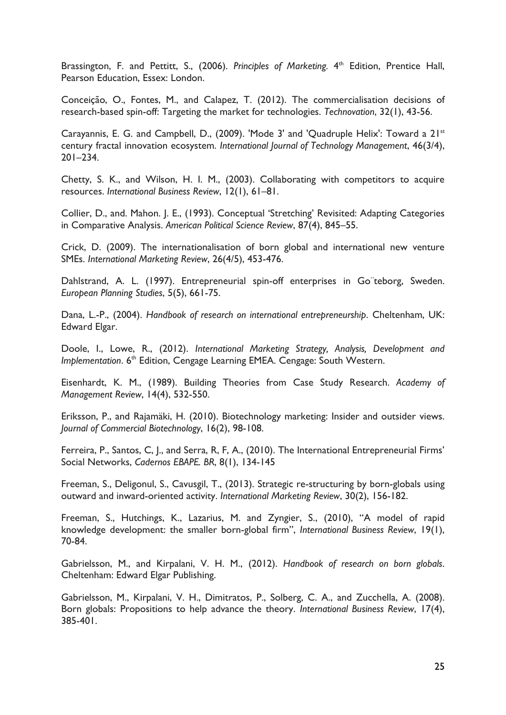Brassington, F. and Pettitt, S., (2006). Principles of Marketing. 4<sup>th</sup> Edition, Prentice Hall, Pearson Education, Essex: London.

Conceição, O., Fontes, M., and Calapez, T. (2012). The commercialisation decisions of research-based spin-off: Targeting the market for technologies. *Technovation*, 32(1), 43-56.

Carayannis, E. G. and Campbell, D., (2009). 'Mode 3' and 'Quadruple Helix': Toward a 21st century fractal innovation ecosystem. *International Journal of Technology Management*, 46(3/4), 201–234.

Chetty, S. K., and Wilson, H. I. M., (2003). Collaborating with competitors to acquire resources. *International Business Review*, 12(1), 61–81.

Collier, D., and. Mahon. J. E., (1993). Conceptual 'Stretching' Revisited: Adapting Categories in Comparative Analysis. *American Political Science Review*, 87(4), 845–55.

Crick, D. (2009). The internationalisation of born global and international new venture SMEs. *International Marketing Review*, 26(4/5), 453-476.

Dahlstrand, A. L. (1997). Entrepreneurial spin-off enterprises in Go¨teborg, Sweden. *European Planning Studies*, 5(5), 661-75.

Dana, L.-P., (2004). *Handbook of research on international entrepreneurship*. Cheltenham, UK: Edward Elgar.

Doole, I., Lowe, R., (2012). *International Marketing Strategy, Analysis, Development and Implementation*. 6<sup>th</sup> Edition, Cengage Learning EMEA. Cengage: South Western.

Eisenhardt, K. M., (1989). Building Theories from Case Study Research. *Academy of Management Review*, 14(4), 532-550.

Eriksson, P., and Rajamäki, H. (2010). Biotechnology marketing: Insider and outsider views. *Journal of Commercial Biotechnology*, 16(2), 98-108.

Ferreira, P., Santos, C, J., and Serra, R, F, A., (2010). The International Entrepreneurial Firms' Social Networks, *Cadernos EBAPE. BR*, 8(1), 134-145

Freeman, S., Deligonul, S., Cavusgil, T., (2013). Strategic re-structuring by born-globals using outward and inward-oriented activity. *International Marketing Review*, 30(2), 156-182.

Freeman, S., Hutchings, K., Lazarius, M. and Zyngier, S., (2010), "A model of rapid knowledge development: the smaller born-global firm", *International Business Review*, 19(1), 70-84.

Gabrielsson, M., and Kirpalani, V. H. M., (2012). *Handbook of research on born globals*. Cheltenham: Edward Elgar Publishing.

Gabrielsson, M., Kirpalani, V. H., Dimitratos, P., Solberg, C. A., and Zucchella, A. (2008). Born globals: Propositions to help advance the theory. *International Business Review*, 17(4), 385-401.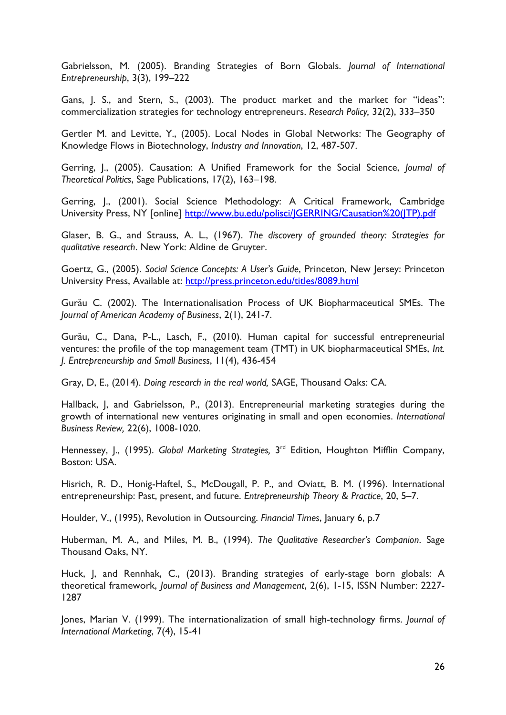Gabrielsson, M. (2005). Branding Strategies of Born Globals. *Journal of International Entrepreneurship*, 3(3), 199–222

Gans, J. S., and Stern, S., (2003). The product market and the market for "ideas": commercialization strategies for technology entrepreneurs. *Research Policy,* 32(2), 333–350

Gertler M. and Levitte, Y., (2005). Local Nodes in Global Networks: The Geography of Knowledge Flows in Biotechnology, *Industry and Innovation*, 12, 487-507.

Gerring, J., (2005). Causation: A Unified Framework for the Social Science, *Journal of Theoretical Politics*, Sage Publications, 17(2), 163–198.

Gerring, J., (2001). Social Science Methodology: A Critical Framework, Cambridge University Press, NY [online] [http://www.bu.edu/polisci/JGERRING/Causation%20\(JTP\).pdf](http://www.bu.edu/polisci/JGERRING/Causation%20(JTP).pdf)

Glaser, B. G., and Strauss, A. L., (1967). *The discovery of grounded theory: Strategies for qualitative research*. New York: Aldine de Gruyter.

Goertz, G., (2005). *Social Science Concepts: A User's Guide*, Princeton, New Jersey: Princeton University Press, Available at:<http://press.princeton.edu/titles/8089.html>

Gurău C. (2002). The Internationalisation Process of UK Biopharmaceutical SMEs. The *Journal of American Academy of Business*, 2(1), 241-7.

Gurău, C., Dana, P-L., Lasch, F., (2010). Human capital for successful entrepreneurial ventures: the profile of the top management team (TMT) in UK biopharmaceutical SMEs, *Int. J. Entrepreneurship and Small Business*, 11(4), 436-454

Gray, D, E., (2014). *Doing research in the real world,* SAGE, Thousand Oaks: CA.

Hallback, J, and Gabrielsson, P., (2013). Entrepreneurial marketing strategies during the growth of international new ventures originating in small and open economies. *International Business Review,* 22(6), 1008-1020.

Hennessey, J., (1995). Global Marketing Strategies, 3<sup>rd</sup> Edition, Houghton Mifflin Company, Boston: USA.

Hisrich, R. D., Honig-Haftel, S., McDougall, P. P., and Oviatt, B. M. (1996). International entrepreneurship: Past, present, and future. *Entrepreneurship Theory & Practice*, 20, 5–7.

Houlder, V., (1995), Revolution in Outsourcing. *Financial Times*, January 6, p.7

Huberman, M. A., and Miles, M. B., (1994). *The Qualitative Researcher's Companion*. Sage Thousand Oaks, NY.

Huck, J, and Rennhak, C., (2013). Branding strategies of early-stage born globals: A theoretical framework, *Journal of Business and Management*, 2(6), 1-15, ISSN Number: 2227- 1287

Jones, Marian V. (1999). The internationalization of small high-technology firms. *Journal of International Marketing*, 7(4), 15-41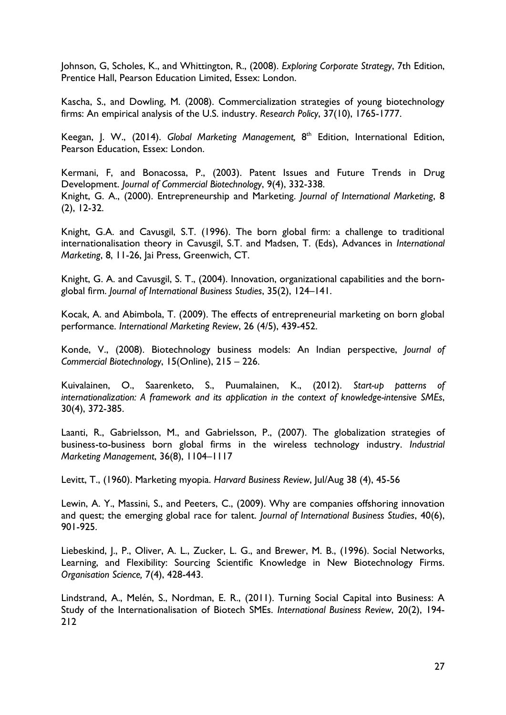Johnson, G, Scholes, K., and Whittington, R., (2008). *Exploring Corporate Strategy*, 7th Edition, Prentice Hall, Pearson Education Limited, Essex: London.

Kascha, S., and Dowling, M. (2008). Commercialization strategies of young biotechnology firms: An empirical analysis of the U.S. industry. *Research Policy*, 37(10), 1765-1777.

Keegan, J. W., (2014). Global Marketing Management, 8<sup>th</sup> Edition, International Edition, Pearson Education, Essex: London.

Kermani, F, and Bonacossa, P., (2003). Patent Issues and Future Trends in Drug Development. *Journal of Commercial Biotechnology*, 9(4), 332-338. Knight, G. A., (2000). Entrepreneurship and Marketing. *Journal of International Marketing*, 8 (2), 12-32.

Knight, G.A. and Cavusgil, S.T. (1996). The born global firm: a challenge to traditional internationalisation theory in Cavusgil, S.T. and Madsen, T. (Eds), Advances in *International Marketing*, 8, 11-26, Jai Press, Greenwich, CT.

Knight, G. A. and Cavusgil, S. T., (2004). Innovation, organizational capabilities and the bornglobal firm. *Journal of International Business Studies*, 35(2), 124–141.

Kocak, A. and Abimbola, T. (2009). The effects of entrepreneurial marketing on born global performance. *International Marketing Review*, 26 (4/5), 439-452.

Konde, V., (2008). Biotechnology business models: An Indian perspective, *Journal of Commercial Biotechnology*, 15(Online), 215 – 226.

Kuivalainen, O., Saarenketo, S., Puumalainen, K., (2012). *Start-up patterns of internationalization: A framework and its application in the context of knowledge-intensive SMEs*, 30(4), 372-385.

Laanti, R., Gabrielsson, M., and Gabrielsson, P., (2007). The globalization strategies of business-to-business born global firms in the wireless technology industry. *Industrial Marketing Management*, 36(8), 1104–1117

Levitt, T., (1960). Marketing myopia. *Harvard Business Review*, Jul/Aug 38 (4), 45-56

Lewin, A. Y., Massini, S., and Peeters, C., (2009). Why are companies offshoring innovation and quest; the emerging global race for talent. *Journal of International Business Studies*, 40(6), 901-925.

Liebeskind, J., P., Oliver, A. L., Zucker, L. G., and Brewer, M. B., (1996). Social Networks, Learning, and Flexibility: Sourcing Scientific Knowledge in New Biotechnology Firms. *Organisation Science,* 7(4), 428-443.

Lindstrand, A., Melén, S., Nordman, E. R., (2011). Turning Social Capital into Business: A Study of the Internationalisation of Biotech SMEs. *International Business Review*, 20(2), 194- 212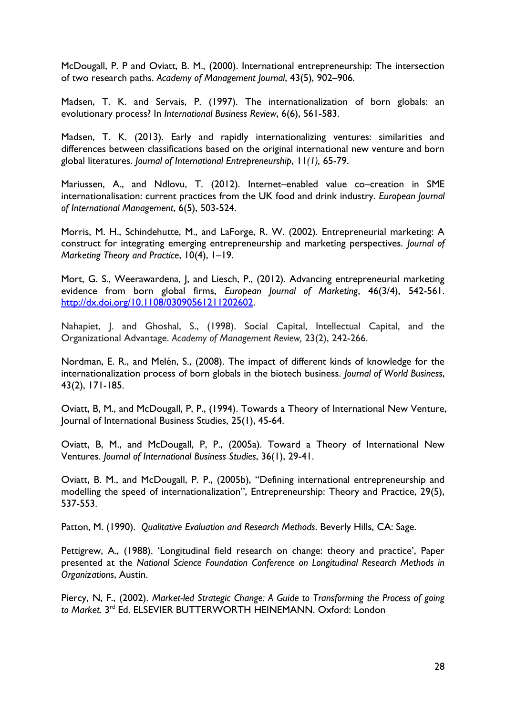McDougall, P. P and Oviatt, B. M., (2000). International entrepreneurship: The intersection of two research paths. *Academy of Management Journal*, 43(5), 902–906.

Madsen, T. K. and Servais, P. (1997). The internationalization of born globals: an evolutionary process? In *International Business Review*, 6(6), 561-583.

Madsen, T. K. (2013). Early and rapidly internationalizing ventures: similarities and differences between classifications based on the original international new venture and born global literatures. *Journal of International Entrepreneurship*, 11*(1),* 65-79.

Mariussen, A., and Ndlovu, T. (2012). Internet–enabled value co–creation in SME internationalisation: current practices from the UK food and drink industry. *European Journal of International Management*, 6(5), 503-524.

Morris, M. H., Schindehutte, M., and LaForge, R. W. (2002). Entrepreneurial marketing: A construct for integrating emerging entrepreneurship and marketing perspectives. *Journal of Marketing Theory and Practice*, 10(4), 1–19.

Mort, G. S., Weerawardena, J, and Liesch, P., (2012). Advancing entrepreneurial marketing evidence from born global firms, *European Journal of Marketing*, 46(3/4), 542-561. [http://dx.doi.org/10.1108/03090561211202602.](http://dx.doi.org/10.1108/03090561211202602)

Nahapiet, J. and Ghoshal, S., (1998). Social Capital, Intellectual Capital, and the Organizational Advantage. *Academy of Management Review,* 23(2), 242-266.

Nordman, E. R., and Melén, S., (2008). The impact of different kinds of knowledge for the internationalization process of born globals in the biotech business. *Journal of World Business*, 43(2), 171-185.

Oviatt, B, M., and McDougall, P, P., (1994). Towards a Theory of International New Venture, Journal of International Business Studies, 25(1), 45-64.

Oviatt, B, M., and McDougall, P, P., (2005a). Toward a Theory of International New Ventures. *Journal of International Business Studies*, 36(1), 29-41.

Oviatt, B. M., and McDougall, P. P., (2005b), "Defining international entrepreneurship and modelling the speed of internationalization", Entrepreneurship: Theory and Practice, 29(5), 537-553.

Patton, M. (1990). *Qualitative Evaluation and Research Methods*. Beverly Hills, CA: Sage.

Pettigrew, A., (1988). 'Longitudinal field research on change: theory and practice', Paper presented at the *National Science Foundation Conference on Longitudinal Research Methods in Organizations*, Austin.

Piercy, N, F., (2002). *Market-led Strategic Change: A Guide to Transforming the Process of going*  to Market. 3<sup>rd</sup> Ed. ELSEVIER BUTTERWORTH HEINEMANN. Oxford: London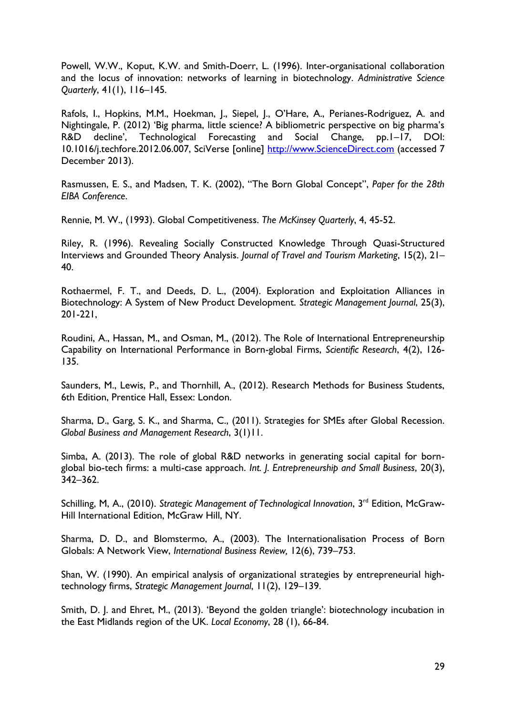Powell, W.W., Koput, K.W. and Smith-Doerr, L. (1996). Inter-organisational collaboration and the locus of innovation: networks of learning in biotechnology. *Administrative Science Quarterly*, 41(1), 116–145.

Rafols, I., Hopkins, M.M., Hoekman, J., Siepel, J., O'Hare, A., Perianes-Rodriguez, A. and Nightingale, P. (2012) 'Big pharma, little science? A bibliometric perspective on big pharma's R&D decline', Technological Forecasting and Social Change, pp.1–17, DOI: 10.1016/j.techfore.2012.06.007, SciVerse [online] [http://www.ScienceDirect.com](http://www.sciencedirect.com/) (accessed 7 December 2013).

Rasmussen, E. S., and Madsen, T. K. (2002), "The Born Global Concept", *Paper for the 28th EIBA Conference*.

Rennie, M. W., (1993). Global Competitiveness. *The McKinsey Quarterly*, 4, 45-52.

Riley, R. (1996). Revealing Socially Constructed Knowledge Through Quasi-Structured Interviews and Grounded Theory Analysis. *Journal of Travel and Tourism Marketing*, 15(2), 21– 40.

Rothaermel, F. T., and Deeds, D. L., (2004). Exploration and Exploitation Alliances in Biotechnology: A System of New Product Development. *Strategic Management Journal*, 25(3), 201-221,

Roudini, A., Hassan, M., and Osman, M., (2012). The Role of International Entrepreneurship Capability on International Performance in Born-global Firms, *Scientific Research*, 4(2), 126- 135.

Saunders, M., Lewis, P., and Thornhill, A., (2012). Research Methods for Business Students, 6th Edition, Prentice Hall, Essex: London.

Sharma, D., Garg, S. K., and Sharma, C., (2011). Strategies for SMEs after Global Recession. *Global Business and Management Research*, 3(1)11.

Simba, A. (2013). The role of global R&D networks in generating social capital for bornglobal bio-tech firms: a multi-case approach. *Int. J. Entrepreneurship and Small Business*, 20(3), 342–362.

Schilling, M, A., (2010). Strategic Management of Technological Innovation, 3<sup>rd</sup> Edition, McGraw-Hill International Edition, McGraw Hill, NY.

Sharma, D. D., and Blomstermo, A., (2003). The Internationalisation Process of Born Globals: A Network View, *International Business Review,* 12(6), 739–753.

Shan, W. (1990). An empirical analysis of organizational strategies by entrepreneurial hightechnology firms, *Strategic Management Journal*, 11(2), 129–139.

Smith, D. J. and Ehret, M., (2013). 'Beyond the golden triangle': biotechnology incubation in the East Midlands region of the UK. *Local Economy*, 28 (1), 66-84.